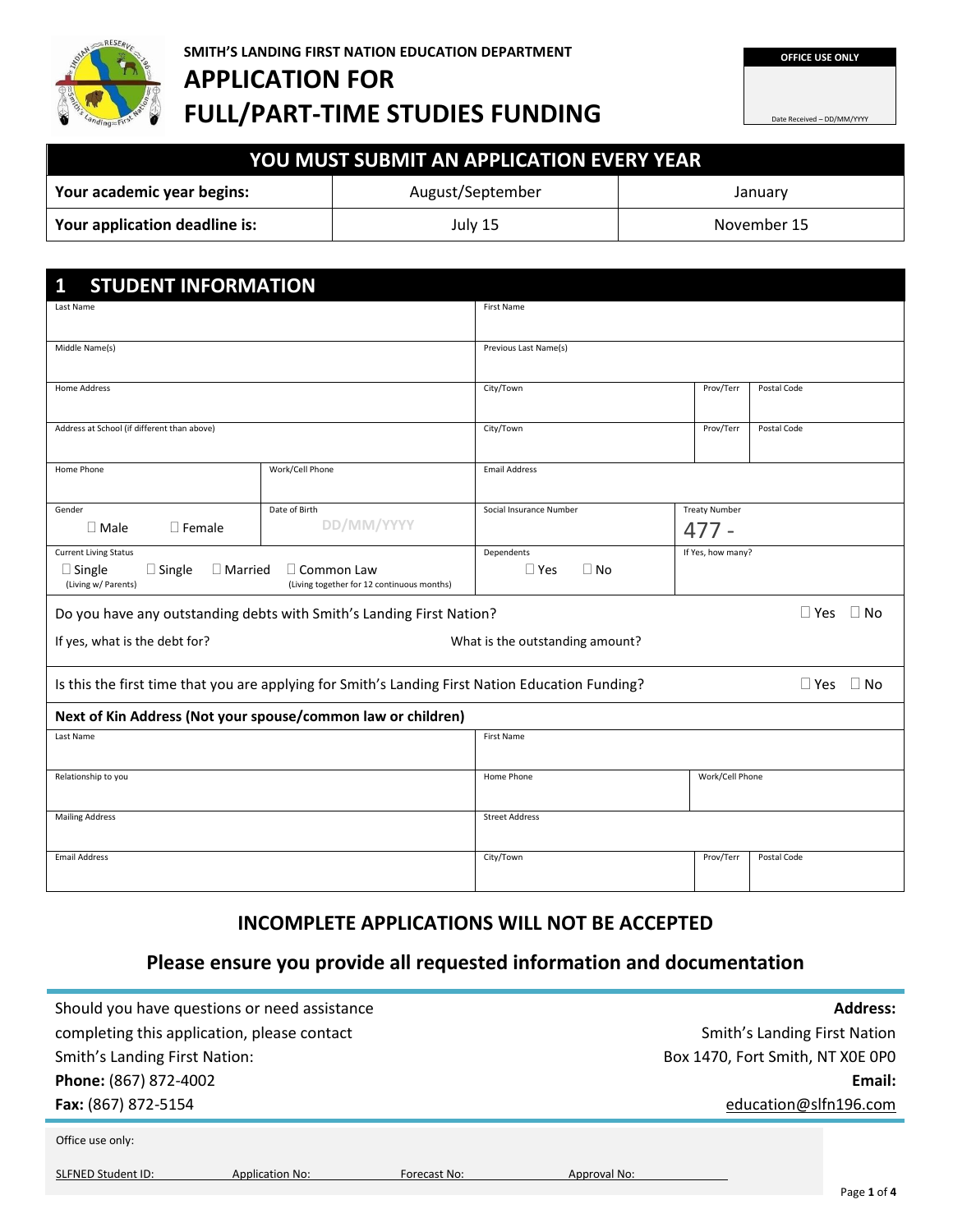

**FULL/PART-TIME STUDIES FUNDING**

Date Received – DD/MM/YYYY

| YOU MUST SUBMIT AN APPLICATION EVERY YEAR \               |  |  |  |  |  |
|-----------------------------------------------------------|--|--|--|--|--|
| August/September<br>Your academic year begins:<br>January |  |  |  |  |  |
| Your application deadline is:<br>July 15<br>November 15   |  |  |  |  |  |

| <b>STUDENT INFORMATION</b><br>1                                                                            |                                                                      |                                                            |                 |                      |  |  |
|------------------------------------------------------------------------------------------------------------|----------------------------------------------------------------------|------------------------------------------------------------|-----------------|----------------------|--|--|
| Last Name                                                                                                  | First Name                                                           |                                                            |                 |                      |  |  |
| Middle Name(s)                                                                                             | Previous Last Name(s)                                                |                                                            |                 |                      |  |  |
| Home Address                                                                                               |                                                                      | City/Town                                                  | Prov/Terr       | Postal Code          |  |  |
| Address at School (if different than above)                                                                |                                                                      | City/Town                                                  | Prov/Terr       | Postal Code          |  |  |
| Home Phone                                                                                                 | <b>Email Address</b>                                                 |                                                            |                 |                      |  |  |
| Gender<br>$\Box$ Female<br>$\Box$ Male                                                                     | Date of Birth<br>DD/MM/YYYY                                          | Social Insurance Number<br><b>Treaty Number</b><br>$477 -$ |                 |                      |  |  |
| <b>Current Living Status</b><br>$\square$ Single<br>$\Box$ Married<br>$\Box$ Single<br>(Living w/ Parents) | Dependents<br>$\Box$ Yes<br>$\Box$ No                                | If Yes, how many?                                          |                 |                      |  |  |
|                                                                                                            | Do you have any outstanding debts with Smith's Landing First Nation? |                                                            |                 | $\Box$ Yes $\Box$ No |  |  |
| If yes, what is the debt for?                                                                              |                                                                      | What is the outstanding amount?                            |                 |                      |  |  |
| Is this the first time that you are applying for Smith's Landing First Nation Education Funding?           |                                                                      |                                                            |                 | $\Box$ Yes $\Box$ No |  |  |
| Next of Kin Address (Not your spouse/common law or children)                                               |                                                                      |                                                            |                 |                      |  |  |
| Last Name                                                                                                  | First Name                                                           |                                                            |                 |                      |  |  |
| Relationship to you                                                                                        |                                                                      | Home Phone                                                 | Work/Cell Phone |                      |  |  |
| <b>Mailing Address</b>                                                                                     | <b>Street Address</b>                                                |                                                            |                 |                      |  |  |
| <b>Email Address</b>                                                                                       | City/Town                                                            | Prov/Terr                                                  | Postal Code     |                      |  |  |

# **INCOMPLETE APPLICATIONS WILL NOT BE ACCEPTED**

# **Please ensure you provide all requested information and documentation**

| Should you have questions or need assistance                        | <b>Address:</b>                     |  |  |
|---------------------------------------------------------------------|-------------------------------------|--|--|
| completing this application, please contact                         | <b>Smith's Landing First Nation</b> |  |  |
| <b>Smith's Landing First Nation:</b>                                | Box 1470, Fort Smith, NT X0E 0P0    |  |  |
| Phone: (867) 872-4002                                               | Email:                              |  |  |
| Fax: (867) 872-5154                                                 | education@slfn196.com               |  |  |
| Office use only:                                                    |                                     |  |  |
| <b>SLFNED Student ID:</b><br><b>Application No:</b><br>Forecast No: | Approval No:<br>Page 1 of 4         |  |  |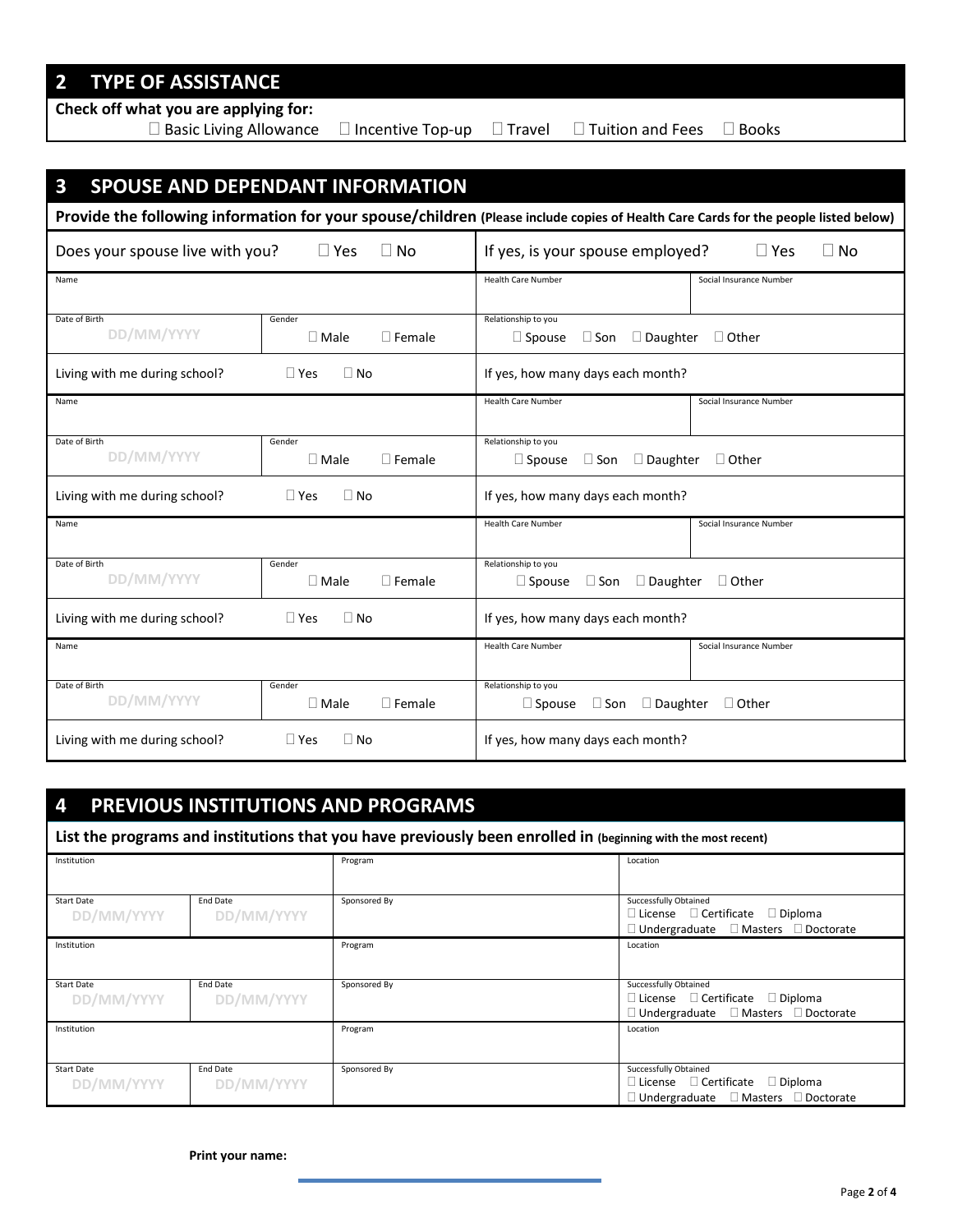# **2 TYPE OF ASSISTANCE**

**Check off what you are applying for:** 

 $\Box$  Basic Living Allowance  $\Box$  Incentive Top-up  $\Box$  Travel  $\Box$  Tuition and Fees  $\Box$  Books

| $\mathbf{3}$<br><b>SPOUSE AND DEPENDANT INFORMATION</b>                                                                             |                                              |                                                                          |                         |  |  |
|-------------------------------------------------------------------------------------------------------------------------------------|----------------------------------------------|--------------------------------------------------------------------------|-------------------------|--|--|
| Provide the following information for your spouse/children (Please include copies of Health Care Cards for the people listed below) |                                              |                                                                          |                         |  |  |
| Does your spouse live with you?                                                                                                     | $\Box$ Yes<br>$\Box$ No                      | If yes, is your spouse employed?                                         | l l Yes<br>    No       |  |  |
| Name                                                                                                                                |                                              | <b>Health Care Number</b>                                                | Social Insurance Number |  |  |
| Date of Birth<br>DD/MM/YYYY                                                                                                         | Gender<br>$\square$ Male<br>$\Box$ Female    | Relationship to you<br>$\Box$ Spouse<br>$\square$ Son<br>$\Box$ Daughter | $\Box$ Other            |  |  |
| Living with me during school?                                                                                                       | $\Box$ Yes<br>$\Box$ No                      | If yes, how many days each month?                                        |                         |  |  |
| Name                                                                                                                                |                                              | <b>Health Care Number</b>                                                | Social Insurance Number |  |  |
| Date of Birth<br>DD/MM/YYYY                                                                                                         | Gender<br>$\Box$ Female<br>$\square$ Male    | Relationship to you<br>$\square$ Son<br>$\Box$ Daughter<br>$\Box$ Spouse | $\Box$ Other            |  |  |
| Living with me during school?<br>$\Box$ Yes<br>$\Box$ No                                                                            |                                              | If yes, how many days each month?                                        |                         |  |  |
| Name                                                                                                                                |                                              | <b>Health Care Number</b>                                                | Social Insurance Number |  |  |
| Date of Birth<br>DD/MM/YYYY                                                                                                         | Gender<br>$\square$ Male<br>$\Box$ Female    | Relationship to you<br>$\square$ Son<br>$\Box$ Daughter<br>$\Box$ Spouse | $\Box$ Other            |  |  |
| Living with me during school?<br>$\Box$ Yes<br>$\Box$ No                                                                            |                                              | If yes, how many days each month?                                        |                         |  |  |
| Name                                                                                                                                |                                              | <b>Health Care Number</b>                                                | Social Insurance Number |  |  |
| Date of Birth<br>DD/MM/YYYY                                                                                                         | Gender<br>$\square$ Male<br>$\square$ Female | Relationship to you<br>$\square$ Son<br>$\Box$ Daughter<br>$\Box$ Spouse | $\Box$ Other            |  |  |
| Living with me during school?                                                                                                       | $\Box$ Yes<br>$\Box$ No                      | If yes, how many days each month?                                        |                         |  |  |

# **4 PREVIOUS INSTITUTIONS AND PROGRAMS**

**List the programs and institutions that you have previously been enrolled in (beginning with the most recent)**

| Institution       |            | Program      | Location                                             |
|-------------------|------------|--------------|------------------------------------------------------|
|                   |            |              |                                                      |
|                   |            |              |                                                      |
| <b>Start Date</b> | End Date   | Sponsored By | Successfully Obtained                                |
| DD/MM/YYYY        | DD/MM/YYYY |              | $\Box$ License $\Box$ Certificate $\Box$ Diploma     |
|                   |            |              | $\Box$ Undergraduate $\Box$ Masters $\Box$ Doctorate |
| Institution       |            | Program      | Location                                             |
|                   |            |              |                                                      |
|                   |            |              |                                                      |
| <b>Start Date</b> | End Date   | Sponsored By | Successfully Obtained                                |
| DD/MM/YYYY        | DD/MM/YYYY |              | $\Box$ License $\Box$ Certificate $\Box$ Diploma     |
|                   |            |              | $\Box$ Undergraduate $\Box$ Masters $\Box$ Doctorate |
| Institution       |            | Program      | Location                                             |
|                   |            |              |                                                      |
|                   |            |              |                                                      |
| <b>Start Date</b> | End Date   | Sponsored By | Successfully Obtained                                |
| DD/MM/YYYY        | DD/MM/YYYY |              | $\Box$ License $\Box$ Certificate $\Box$ Diploma     |
|                   |            |              | $\Box$ Undergraduate $\Box$ Masters $\Box$ Doctorate |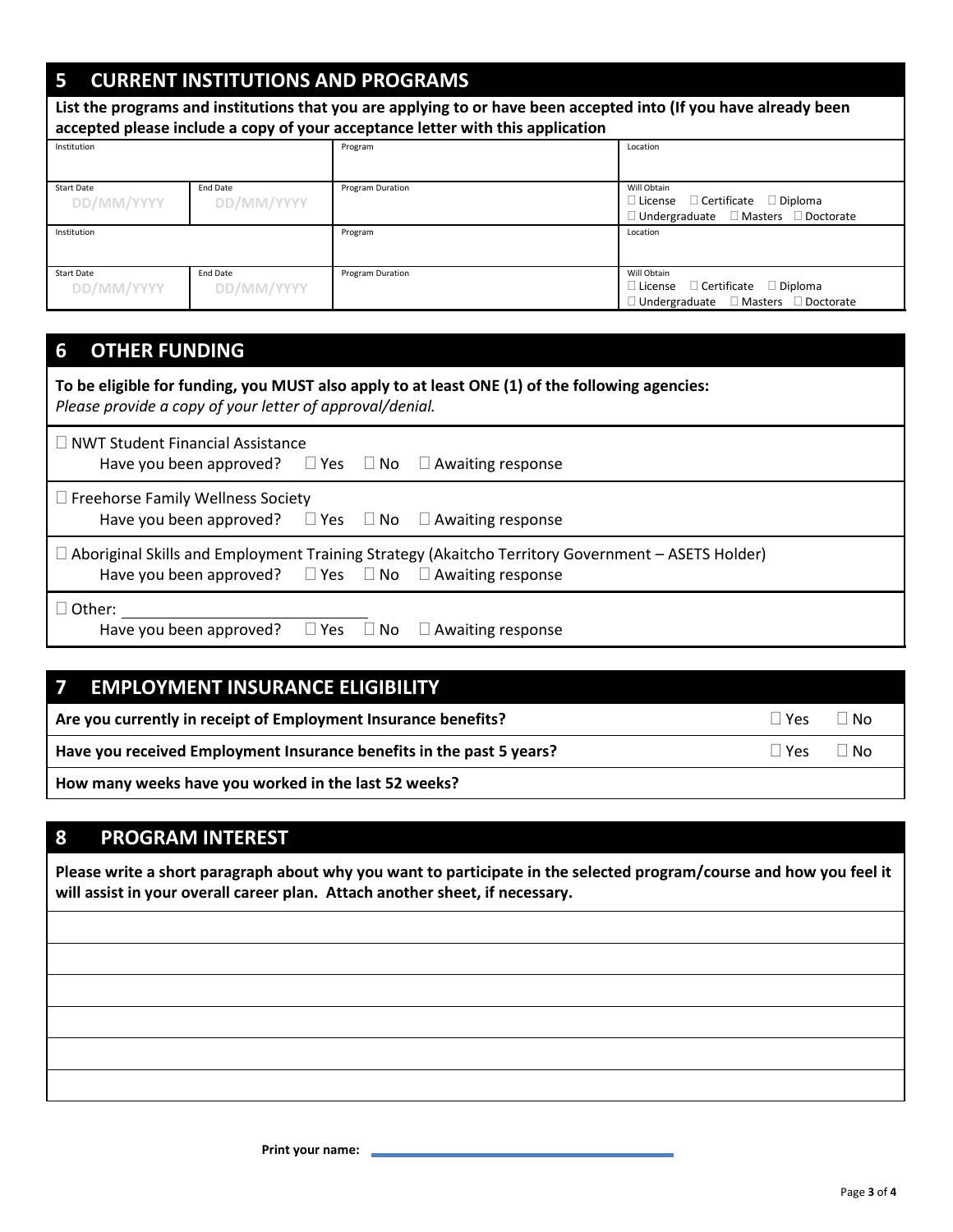# **5 CURRENT INSTITUTIONS AND PROGRAMS**

| List the programs and institutions that you are applying to or have been accepted into (If you have already been<br>accepted please include a copy of your acceptance letter with this application |                               |                  |                                                                                                                         |  |
|----------------------------------------------------------------------------------------------------------------------------------------------------------------------------------------------------|-------------------------------|------------------|-------------------------------------------------------------------------------------------------------------------------|--|
| Institution                                                                                                                                                                                        |                               | Program          | Location                                                                                                                |  |
| <b>Start Date</b><br>DD/MM/YYYY                                                                                                                                                                    | End Date<br>DD/MM/YYYY        | Program Duration | Will Obtain<br>$\Box$ License $\Box$ Certificate $\Box$ Diploma<br>$\Box$ Undergraduate $\Box$ Masters $\Box$ Doctorate |  |
| Institution                                                                                                                                                                                        |                               | Program          | Location                                                                                                                |  |
| <b>Start Date</b><br>DD/MM/YYYY                                                                                                                                                                    | <b>Fnd Date</b><br>DD/MM/YYYY | Program Duration | Will Obtain<br>$\Box$ License $\Box$ Certificate $\Box$ Diploma<br>$\Box$ Undergraduate $\Box$ Masters $\Box$ Doctorate |  |

#### **6 OTHER FUNDING**

| To be eligible for funding, you MUST also apply to at least ONE (1) of the following agencies:<br>Please provide a copy of your letter of approval/denial.                        |  |  |  |  |  |
|-----------------------------------------------------------------------------------------------------------------------------------------------------------------------------------|--|--|--|--|--|
| $\Box$ NWT Student Financial Assistance<br>Have you been approved? $\Box$ Yes $\Box$ No $\Box$ Awaiting response                                                                  |  |  |  |  |  |
| $\Box$ Freehorse Family Wellness Society<br>Have you been approved? $\Box$ Yes $\Box$ No $\Box$ Awaiting response                                                                 |  |  |  |  |  |
| $\Box$ Aboriginal Skills and Employment Training Strategy (Akaitcho Territory Government – ASETS Holder)<br>Have you been approved? $\Box$ Yes $\Box$ No $\Box$ Awaiting response |  |  |  |  |  |
| $\Box$ Other:<br>Have you been approved? $\Box$ Yes $\Box$ No $\Box$ Awaiting response                                                                                            |  |  |  |  |  |

# **7 EMPLOYMENT INSURANCE ELIGIBILITY**

**Are you currently in receipt of Employment Insurance benefits?**  $\Box$  Yes  $\Box$  No

**Have you received Employment Insurance benefits in the past 5 years?**  $\Box$  Yes  $\Box$  No

**How many weeks have you worked in the last 52 weeks?** 

### **8 PROGRAM INTEREST**

**Please write a short paragraph about why you want to participate in the selected program/course and how you feel it will assist in your overall career plan. Attach another sheet, if necessary.**